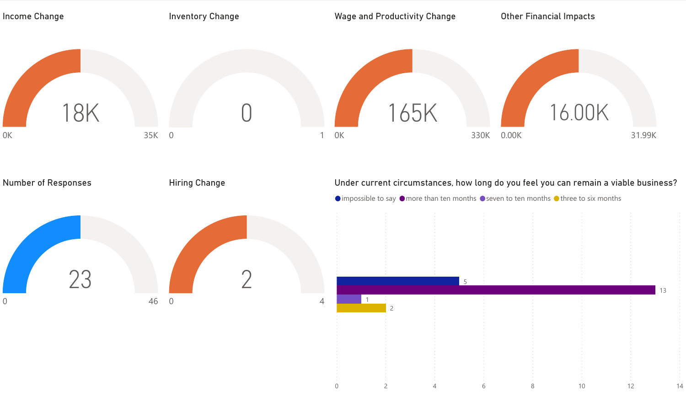